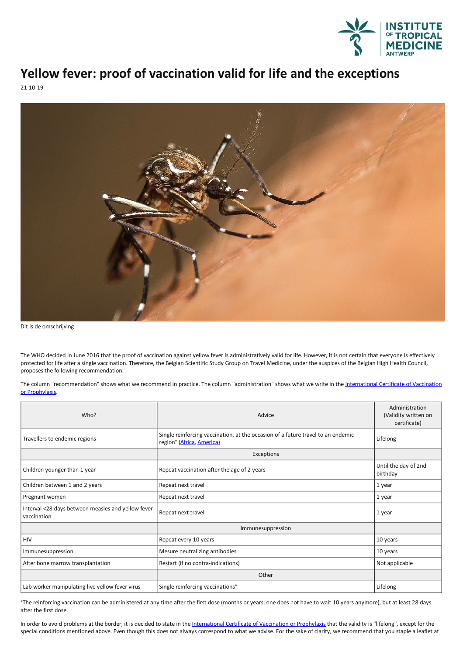

## **Yellow fever: proof ofvaccination valid for life and the exceptions**

21-10-19



Dit is de omschrijving

The WHO decided in June 2016 that the proof of vaccination against yellow fever is administratively valid for life. However, it is not certain that everyone is effectively protected for life after a single vaccination. Therefore, the Belgian Scientific Study Group on Travel Medicine, under the auspices of the Belgian High Health Council, proposes the following recommendation:

The column ["recommendation"](https://www.itg.be/Files/docs/Reisgeneeskunde/International Certificate of Vaccination or Prophylaxis.pdf) shows what we recommend in practice. The column "administration" shows what we write in the International Certificate of Vaccination or Prophylaxis.

| Who?                                                              | Advice                                                                                                                    | Administration<br>(Validity written on<br>certificate) |
|-------------------------------------------------------------------|---------------------------------------------------------------------------------------------------------------------------|--------------------------------------------------------|
| Travellers to endemic regions                                     | Single reinforcing vaccination, at the occasion of a future travel to an endemic<br>region <sup>°</sup> (Africa, America) | Lifelong                                               |
|                                                                   | Exceptions                                                                                                                |                                                        |
| Children younger than 1 year                                      | Repeat vaccination after the age of 2 years                                                                               | Until the day of 2nd<br>birthday                       |
| Children between 1 and 2 years                                    | Repeat next travel                                                                                                        | 1 year                                                 |
| Pregnant women                                                    | Repeat next travel                                                                                                        | 1 year                                                 |
| Interval <28 days between measles and yellow fever<br>vaccination | Repeat next travel                                                                                                        | 1 year                                                 |
|                                                                   | Immunesuppression                                                                                                         |                                                        |
| <b>HIV</b>                                                        | Repeat every 10 years                                                                                                     | 10 years                                               |
| Immunesuppression                                                 | Mesure neutralizing antibodies                                                                                            | 10 years                                               |
| After bone marrow transplantation                                 | Restart (if no contra-indications)                                                                                        | Not applicable                                         |
|                                                                   | Other                                                                                                                     |                                                        |
| Lab worker manipulating live yellow fever virus                   | Single reinforcing vaccinations°                                                                                          | Lifelong                                               |

°The reinforcing vaccination can be administered at any time after the first dose (months or years, one does not have to wait 10 years anymore), but at least 28 days after the first dose.

In order to avoid problems at the border, it is decided to state in the [International](https://www.itg.be/Files/docs/Reisgeneeskunde/International Certificate of Vaccination or Prophylaxis.pdf) Certificate of Vaccination or Prophylaxis that the validity is "lifelong", except for the special conditions mentioned above. Even though this does not always correspond to what we advise. For the sake of clarity, we recommend that you staple a leaflet at